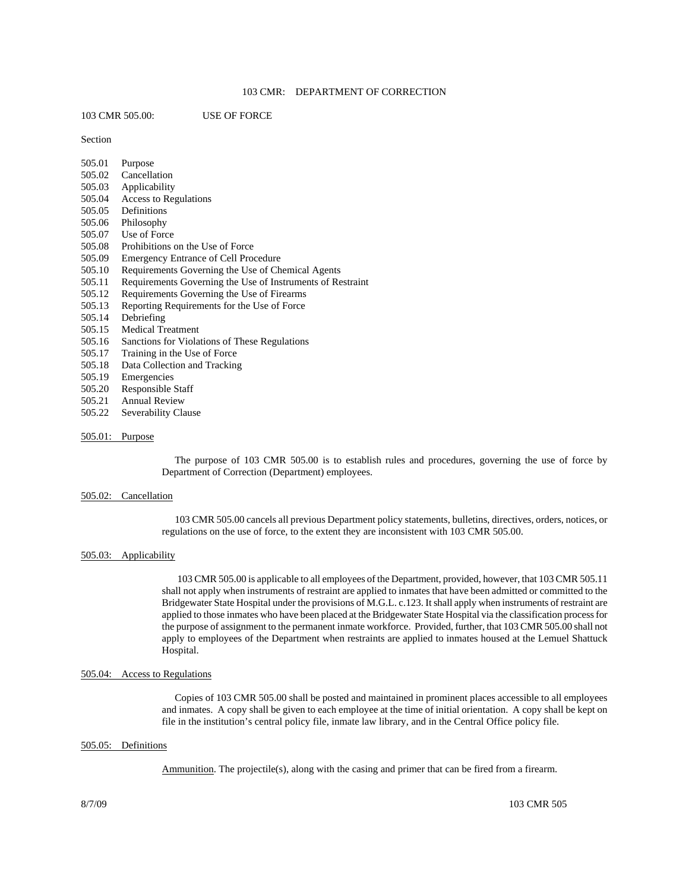# 103 CMR: DEPARTMENT OF CORRECTION

103 CMR 505.00: USE OF FORCE

Section

| 505.01 | Purpose                                                    |
|--------|------------------------------------------------------------|
| 505.02 | Cancellation                                               |
| 505.03 | Applicability                                              |
| 505.04 | Access to Regulations                                      |
| 505.05 | Definitions                                                |
| 505.06 | Philosophy                                                 |
| 505.07 | Use of Force                                               |
| 505.08 | Prohibitions on the Use of Force                           |
| 505.09 | <b>Emergency Entrance of Cell Procedure</b>                |
| 505.10 | Requirements Governing the Use of Chemical Agents          |
| 505.11 | Requirements Governing the Use of Instruments of Restraint |
| 505.12 | Requirements Governing the Use of Firearms                 |
| 505.13 | Reporting Requirements for the Use of Force                |
| 505.14 | Debriefing                                                 |
| 505.15 | <b>Medical Treatment</b>                                   |
| 505.16 | Sanctions for Violations of These Regulations              |
| 505.17 | Training in the Use of Force                               |
| 505.18 | Data Collection and Tracking                               |
| 505.19 | Emergencies                                                |
| 505.20 | Responsible Staff                                          |
| 505.21 | <b>Annual Review</b>                                       |
| 505.22 | Severability Clause                                        |
|        |                                                            |
|        |                                                            |

505.01: Purpose

 The purpose of 103 CMR 505.00 is to establish rules and procedures, governing the use of force by Department of Correction (Department) employees.

#### 505.02: Cancellation

 103 CMR 505.00 cancels all previous Department policy statements, bulletins, directives, orders, notices, or regulations on the use of force, to the extent they are inconsistent with 103 CMR 505.00.

### 505.03: Applicability

 103 CMR 505.00 is applicable to all employees of the Department, provided, however, that 103 CMR 505.11 shall not apply when instruments of restraint are applied to inmates that have been admitted or committed to the Bridgewater State Hospital under the provisions of M.G.L. c.123. It shall apply when instruments of restraint are applied to those inmates who have been placed at the Bridgewater State Hospital via the classification process for the purpose of assignment to the permanent inmate workforce. Provided, further, that 103 CMR 505.00 shall not apply to employees of the Department when restraints are applied to inmates housed at the Lemuel Shattuck Hospital.

### 505.04: Access to Regulations

 Copies of 103 CMR 505.00 shall be posted and maintained in prominent places accessible to all employees and inmates. A copy shall be given to each employee at the time of initial orientation. A copy shall be kept on file in the institution's central policy file, inmate law library, and in the Central Office policy file.

#### 505.05: Definitions

Ammunition. The projectile(s), along with the casing and primer that can be fired from a firearm.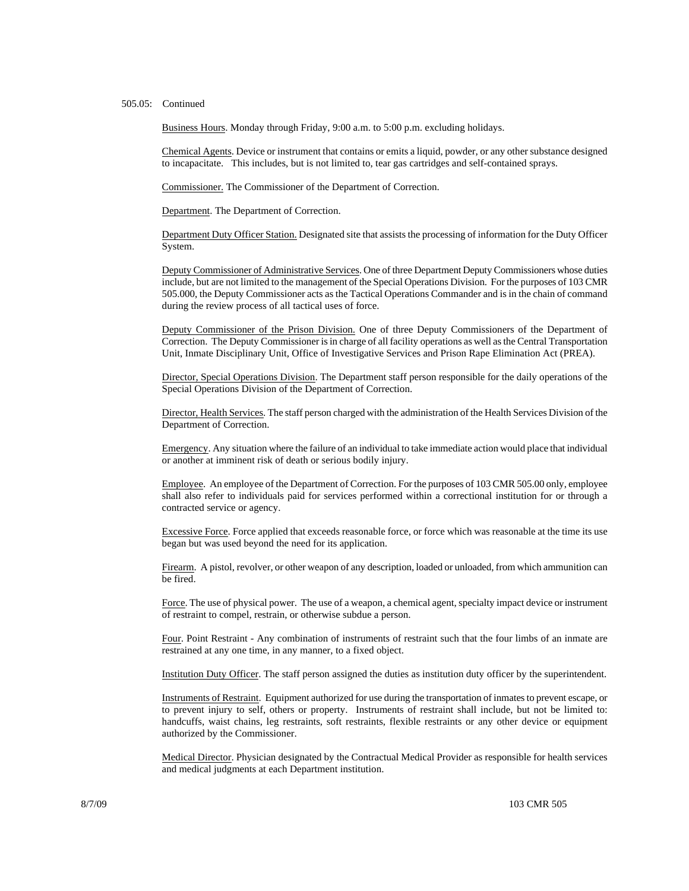## 505.05: Continued

Business Hours. Monday through Friday, 9:00 a.m. to 5:00 p.m. excluding holidays.

Chemical Agents. Device or instrument that contains or emits a liquid, powder, or any other substance designed to incapacitate. This includes, but is not limited to, tear gas cartridges and self-contained sprays.

Commissioner. The Commissioner of the Department of Correction.

Department. The Department of Correction.

Department Duty Officer Station. Designated site that assists the processing of information for the Duty Officer System.

Deputy Commissioner of Administrative Services. One of three Department Deputy Commissioners whose duties include, but are not limited to the management of the Special Operations Division. For the purposes of 103 CMR 505.000, the Deputy Commissioner acts as the Tactical Operations Commander and is in the chain of command during the review process of all tactical uses of force.

Deputy Commissioner of the Prison Division. One of three Deputy Commissioners of the Department of Correction. The Deputy Commissioner is in charge of all facility operations as well as the Central Transportation Unit, Inmate Disciplinary Unit, Office of Investigative Services and Prison Rape Elimination Act (PREA).

Director, Special Operations Division. The Department staff person responsible for the daily operations of the Special Operations Division of the Department of Correction.

Director, Health Services. The staff person charged with the administration of the Health Services Division of the Department of Correction.

Emergency. Any situation where the failure of an individual to take immediate action would place that individual or another at imminent risk of death or serious bodily injury.

Employee. An employee of the Department of Correction. For the purposes of 103 CMR 505.00 only, employee shall also refer to individuals paid for services performed within a correctional institution for or through a contracted service or agency.

Excessive Force. Force applied that exceeds reasonable force, or force which was reasonable at the time its use began but was used beyond the need for its application.

Firearm. A pistol, revolver, or other weapon of any description, loaded or unloaded, from which ammunition can be fired.

Force. The use of physical power. The use of a weapon, a chemical agent, specialty impact device or instrument of restraint to compel, restrain, or otherwise subdue a person.

Four. Point Restraint - Any combination of instruments of restraint such that the four limbs of an inmate are restrained at any one time, in any manner, to a fixed object.

Institution Duty Officer. The staff person assigned the duties as institution duty officer by the superintendent.

Instruments of Restraint. Equipment authorized for use during the transportation of inmates to prevent escape, or to prevent injury to self, others or property. Instruments of restraint shall include, but not be limited to: handcuffs, waist chains, leg restraints, soft restraints, flexible restraints or any other device or equipment authorized by the Commissioner.

Medical Director. Physician designated by the Contractual Medical Provider as responsible for health services and medical judgments at each Department institution.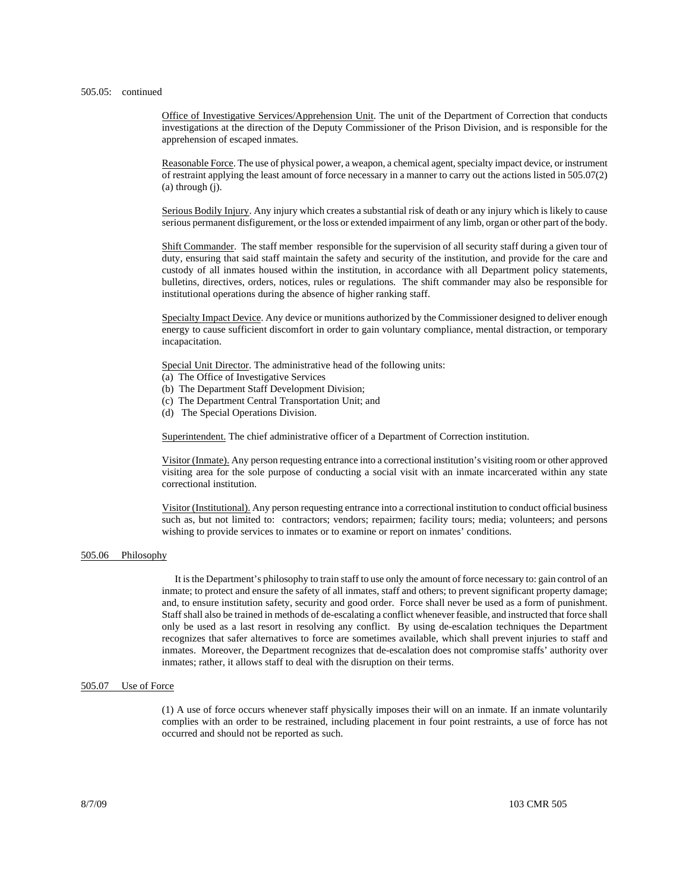#### 505.05: continued

Office of Investigative Services/Apprehension Unit. The unit of the Department of Correction that conducts investigations at the direction of the Deputy Commissioner of the Prison Division, and is responsible for the apprehension of escaped inmates.

Reasonable Force. The use of physical power, a weapon, a chemical agent, specialty impact device, or instrument of restraint applying the least amount of force necessary in a manner to carry out the actions listed in 505.07(2) (a) through (j).

Serious Bodily Injury. Any injury which creates a substantial risk of death or any injury which is likely to cause serious permanent disfigurement, or the loss or extended impairment of any limb, organ or other part of the body.

Shift Commander. The staff member responsible for the supervision of all security staff during a given tour of duty, ensuring that said staff maintain the safety and security of the institution, and provide for the care and custody of all inmates housed within the institution, in accordance with all Department policy statements, bulletins, directives, orders, notices, rules or regulations. The shift commander may also be responsible for institutional operations during the absence of higher ranking staff.

Specialty Impact Device. Any device or munitions authorized by the Commissioner designed to deliver enough energy to cause sufficient discomfort in order to gain voluntary compliance, mental distraction, or temporary incapacitation.

Special Unit Director. The administrative head of the following units:

- (a) The Office of Investigative Services
- (b) The Department Staff Development Division;
- (c) The Department Central Transportation Unit; and
- (d) The Special Operations Division.

Superintendent. The chief administrative officer of a Department of Correction institution.

Visitor (Inmate). Any person requesting entrance into a correctional institution's visiting room or other approved visiting area for the sole purpose of conducting a social visit with an inmate incarcerated within any state correctional institution.

Visitor (Institutional). Any person requesting entrance into a correctional institution to conduct official business such as, but not limited to: contractors; vendors; repairmen; facility tours; media; volunteers; and persons wishing to provide services to inmates or to examine or report on inmates' conditions.

### 505.06 Philosophy

 It is the Department's philosophy to train staff to use only the amount of force necessary to: gain control of an inmate; to protect and ensure the safety of all inmates, staff and others; to prevent significant property damage; and, to ensure institution safety, security and good order. Force shall never be used as a form of punishment. Staff shall also be trained in methods of de-escalating a conflict whenever feasible, and instructed that force shall only be used as a last resort in resolving any conflict. By using de-escalation techniques the Department recognizes that safer alternatives to force are sometimes available, which shall prevent injuries to staff and inmates. Moreover, the Department recognizes that de-escalation does not compromise staffs' authority over inmates; rather, it allows staff to deal with the disruption on their terms.

#### 505.07 Use of Force

(1) A use of force occurs whenever staff physically imposes their will on an inmate. If an inmate voluntarily complies with an order to be restrained, including placement in four point restraints, a use of force has not occurred and should not be reported as such.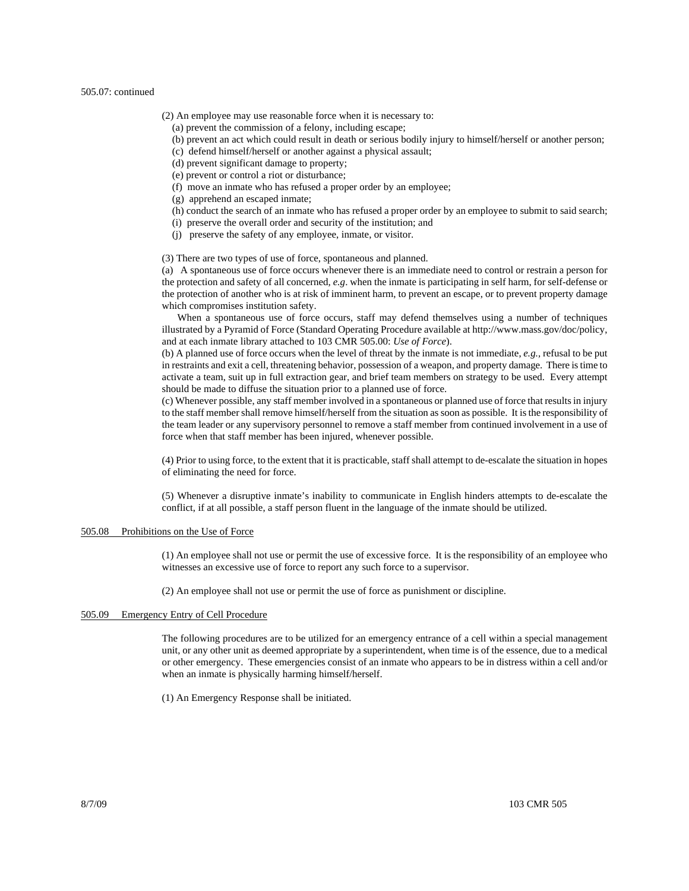#### 505.07: continued

- (2) An employee may use reasonable force when it is necessary to:
	- (a) prevent the commission of a felony, including escape;
	- (b) prevent an act which could result in death or serious bodily injury to himself/herself or another person;
	- (c) defend himself/herself or another against a physical assault;
	- (d) prevent significant damage to property;
	- (e) prevent or control a riot or disturbance;
	- (f) move an inmate who has refused a proper order by an employee;
	- (g) apprehend an escaped inmate;
	- (h) conduct the search of an inmate who has refused a proper order by an employee to submit to said search;
	- (i) preserve the overall order and security of the institution; and
	- (j) preserve the safety of any employee, inmate, or visitor.

(3) There are two types of use of force, spontaneous and planned.

(a) A spontaneous use of force occurs whenever there is an immediate need to control or restrain a person for the protection and safety of all concerned*, e.g*. when the inmate is participating in self harm, for self-defense or the protection of another who is at risk of imminent harm, to prevent an escape, or to prevent property damage which compromises institution safety.

 When a spontaneous use of force occurs, staff may defend themselves using a number of techniques illustrated by a Pyramid of Force (Standard Operating Procedure available at http://www.mass.gov/doc/policy, and at each inmate library attached to 103 CMR 505.00: *Use of Force*).

(b) A planned use of force occurs when the level of threat by the inmate is not immediate, *e.g.,* refusal to be put in restraints and exit a cell, threatening behavior, possession of a weapon, and property damage. There is time to activate a team, suit up in full extraction gear, and brief team members on strategy to be used. Every attempt should be made to diffuse the situation prior to a planned use of force.

(c) Whenever possible, any staff member involved in a spontaneous or planned use of force that results in injury to the staff member shall remove himself/herself from the situation as soon as possible. It is the responsibility of the team leader or any supervisory personnel to remove a staff member from continued involvement in a use of force when that staff member has been injured, whenever possible.

(4) Prior to using force, to the extent that it is practicable, staff shall attempt to de-escalate the situation in hopes of eliminating the need for force.

(5) Whenever a disruptive inmate's inability to communicate in English hinders attempts to de-escalate the conflict, if at all possible, a staff person fluent in the language of the inmate should be utilized.

# 505.08 Prohibitions on the Use of Force

(1) An employee shall not use or permit the use of excessive force. It is the responsibility of an employee who witnesses an excessive use of force to report any such force to a supervisor.

(2) An employee shall not use or permit the use of force as punishment or discipline.

#### 505.09 Emergency Entry of Cell Procedure

The following procedures are to be utilized for an emergency entrance of a cell within a special management unit, or any other unit as deemed appropriate by a superintendent, when time is of the essence, due to a medical or other emergency. These emergencies consist of an inmate who appears to be in distress within a cell and/or when an inmate is physically harming himself/herself.

(1) An Emergency Response shall be initiated.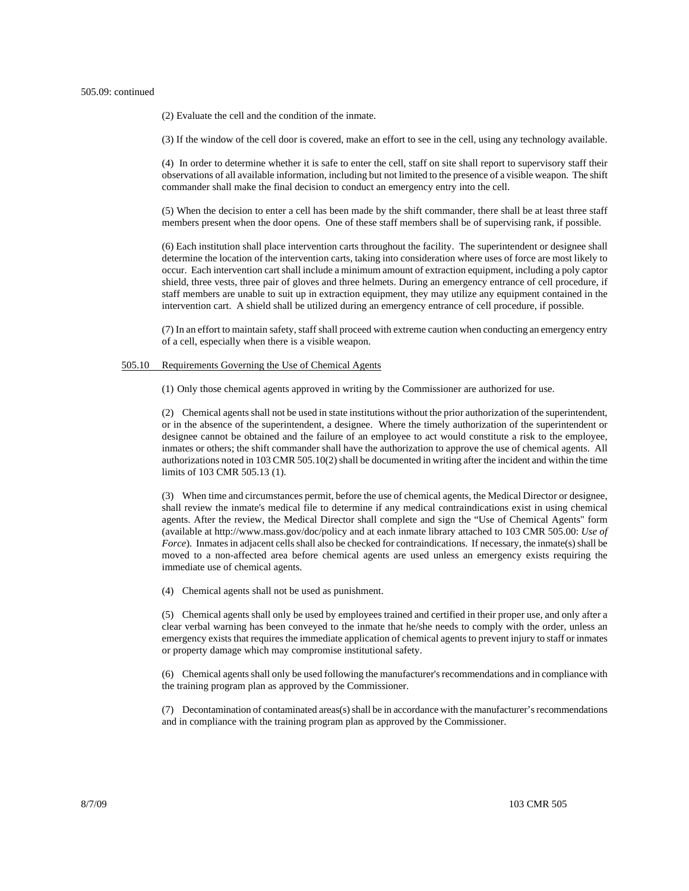#### 505.09: continued

(2) Evaluate the cell and the condition of the inmate.

(3) If the window of the cell door is covered, make an effort to see in the cell, using any technology available.

(4) In order to determine whether it is safe to enter the cell, staff on site shall report to supervisory staff their observations of all available information, including but not limited to the presence of a visible weapon. The shift commander shall make the final decision to conduct an emergency entry into the cell.

(5) When the decision to enter a cell has been made by the shift commander, there shall be at least three staff members present when the door opens. One of these staff members shall be of supervising rank, if possible.

(6) Each institution shall place intervention carts throughout the facility. The superintendent or designee shall determine the location of the intervention carts, taking into consideration where uses of force are most likely to occur. Each intervention cart shall include a minimum amount of extraction equipment, including a poly captor shield, three vests, three pair of gloves and three helmets. During an emergency entrance of cell procedure, if staff members are unable to suit up in extraction equipment, they may utilize any equipment contained in the intervention cart. A shield shall be utilized during an emergency entrance of cell procedure, if possible.

(7) In an effort to maintain safety, staff shall proceed with extreme caution when conducting an emergency entry of a cell, especially when there is a visible weapon.

# 505.10 Requirements Governing the Use of Chemical Agents

(1) Only those chemical agents approved in writing by the Commissioner are authorized for use.

(2) Chemical agents shall not be used in state institutions without the prior authorization of the superintendent, or in the absence of the superintendent, a designee. Where the timely authorization of the superintendent or designee cannot be obtained and the failure of an employee to act would constitute a risk to the employee, inmates or others; the shift commander shall have the authorization to approve the use of chemical agents. All authorizations noted in 103 CMR 505.10(2) shall be documented in writing after the incident and within the time limits of 103 CMR 505.13 (1).

(3) When time and circumstances permit, before the use of chemical agents, the Medical Director or designee, shall review the inmate's medical file to determine if any medical contraindications exist in using chemical agents. After the review, the Medical Director shall complete and sign the "Use of Chemical Agents" form (available at http://www.mass.gov/doc/policy and at each inmate library attached to 103 CMR 505.00: *Use of Force*). Inmates in adjacent cells shall also be checked for contraindications. If necessary, the inmate(s) shall be moved to a non-affected area before chemical agents are used unless an emergency exists requiring the immediate use of chemical agents.

(4) Chemical agents shall not be used as punishment.

(5) Chemical agents shall only be used by employees trained and certified in their proper use, and only after a clear verbal warning has been conveyed to the inmate that he/she needs to comply with the order, unless an emergency exists that requires the immediate application of chemical agents to prevent injury to staff or inmates or property damage which may compromise institutional safety.

(6) Chemical agents shall only be used following the manufacturer's recommendations and in compliance with the training program plan as approved by the Commissioner.

(7) Decontamination of contaminated areas(s) shall be in accordance with the manufacturer's recommendations and in compliance with the training program plan as approved by the Commissioner.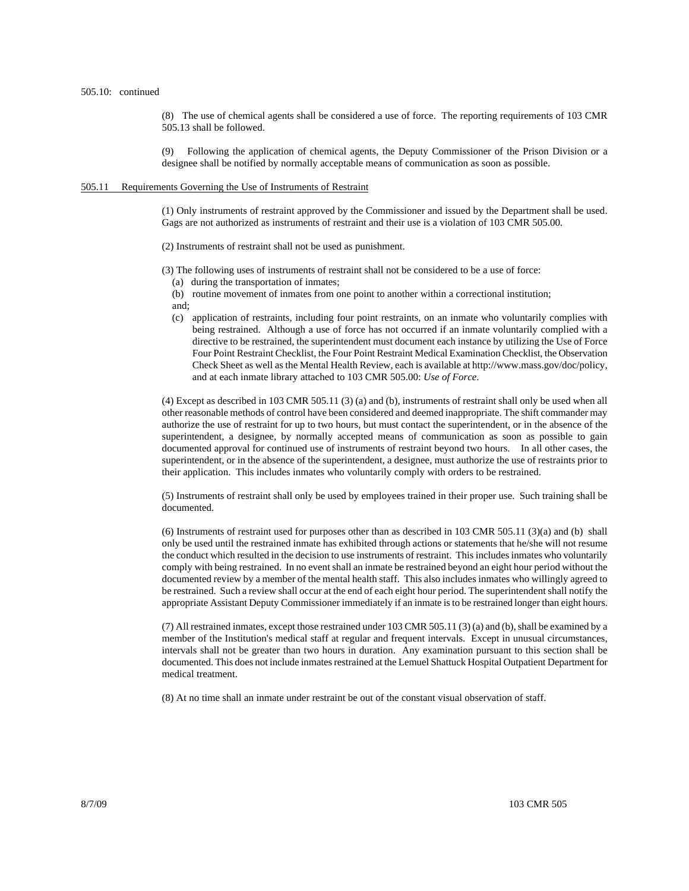(8) The use of chemical agents shall be considered a use of force. The reporting requirements of 103 CMR 505.13 shall be followed.

(9) Following the application of chemical agents, the Deputy Commissioner of the Prison Division or a designee shall be notified by normally acceptable means of communication as soon as possible.

### 505.11 Requirements Governing the Use of Instruments of Restraint

(1) Only instruments of restraint approved by the Commissioner and issued by the Department shall be used. Gags are not authorized as instruments of restraint and their use is a violation of 103 CMR 505.00.

(2) Instruments of restraint shall not be used as punishment.

(3) The following uses of instruments of restraint shall not be considered to be a use of force:

- (a) during the transportation of inmates;
- (b) routine movement of inmates from one point to another within a correctional institution; and;
- 
- (c) application of restraints, including four point restraints, on an inmate who voluntarily complies with being restrained. Although a use of force has not occurred if an inmate voluntarily complied with a directive to be restrained, the superintendent must document each instance by utilizing the Use of Force Four Point Restraint Checklist, the Four Point Restraint Medical Examination Checklist, the Observation Check Sheet as well as the Mental Health Review, each is available at http://www.mass.gov/doc/policy, and at each inmate library attached to 103 CMR 505.00: *Use of Force*.

(4) Except as described in 103 CMR 505.11 (3) (a) and (b), instruments of restraint shall only be used when all other reasonable methods of control have been considered and deemed inappropriate. The shift commander may authorize the use of restraint for up to two hours, but must contact the superintendent, or in the absence of the superintendent, a designee, by normally accepted means of communication as soon as possible to gain documented approval for continued use of instruments of restraint beyond two hours. In all other cases, the superintendent, or in the absence of the superintendent, a designee, must authorize the use of restraints prior to their application. This includes inmates who voluntarily comply with orders to be restrained.

(5) Instruments of restraint shall only be used by employees trained in their proper use. Such training shall be documented.

(6) Instruments of restraint used for purposes other than as described in 103 CMR 505.11 (3)(a) and (b) shall only be used until the restrained inmate has exhibited through actions or statements that he/she will not resume the conduct which resulted in the decision to use instruments of restraint. This includes inmates who voluntarily comply with being restrained. In no event shall an inmate be restrained beyond an eight hour period without the documented review by a member of the mental health staff. This also includes inmates who willingly agreed to be restrained. Such a review shall occur at the end of each eight hour period. The superintendent shall notify the appropriate Assistant Deputy Commissioner immediately if an inmate is to be restrained longer than eight hours.

(7) All restrained inmates, except those restrained under 103 CMR 505.11 (3) (a) and (b), shall be examined by a member of the Institution's medical staff at regular and frequent intervals. Except in unusual circumstances, intervals shall not be greater than two hours in duration. Any examination pursuant to this section shall be documented. This does not include inmates restrained at the Lemuel Shattuck Hospital Outpatient Department for medical treatment.

(8) At no time shall an inmate under restraint be out of the constant visual observation of staff.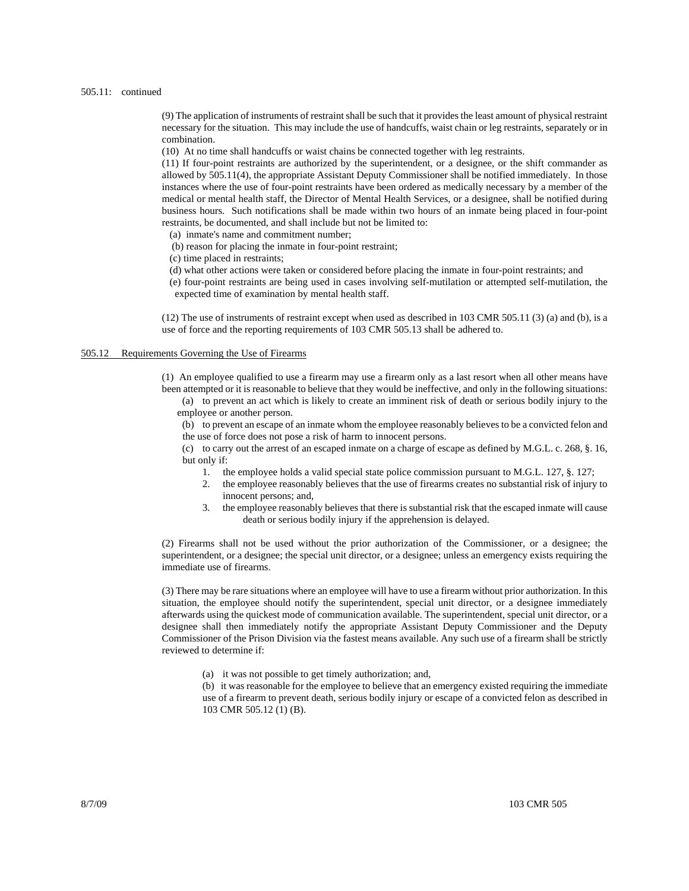#### 505.11: continued

(9) The application of instruments of restraint shall be such that it provides the least amount of physical restraint necessary for the situation. This may include the use of handcuffs, waist chain or leg restraints, separately or in combination.

(10) At no time shall handcuffs or waist chains be connected together with leg restraints.

(11) If four-point restraints are authorized by the superintendent, or a designee, or the shift commander as allowed by 505.11(4), the appropriate Assistant Deputy Commissioner shall be notified immediately. In those instances where the use of four-point restraints have been ordered as medically necessary by a member of the medical or mental health staff, the Director of Mental Health Services, or a designee, shall be notified during business hours. Such notifications shall be made within two hours of an inmate being placed in four-point restraints, be documented, and shall include but not be limited to:

(a) inmate's name and commitment number;

- (b) reason for placing the inmate in four-point restraint;
- (c) time placed in restraints;
- (d) what other actions were taken or considered before placing the inmate in four-point restraints; and
- (e) four-point restraints are being used in cases involving self-mutilation or attempted self-mutilation, the expected time of examination by mental health staff.

(12) The use of instruments of restraint except when used as described in 103 CMR 505.11 (3) (a) and (b), is a use of force and the reporting requirements of 103 CMR 505.13 shall be adhered to.

# 505.12 Requirements Governing the Use of Firearms

(1) An employee qualified to use a firearm may use a firearm only as a last resort when all other means have been attempted or it is reasonable to believe that they would be ineffective, and only in the following situations:

(a) to prevent an act which is likely to create an imminent risk of death or serious bodily injury to the employee or another person.

(b) to prevent an escape of an inmate whom the employee reasonably believes to be a convicted felon and the use of force does not pose a risk of harm to innocent persons.

- (c) to carry out the arrest of an escaped inmate on a charge of escape as defined by M.G.L. c. 268, §. 16, but only if:
	- 1. the employee holds a valid special state police commission pursuant to M.G.L. 127, §. 127;
	- 2. the employee reasonably believes that the use of firearms creates no substantial risk of injury to innocent persons; and,
	- 3. the employee reasonably believes that there is substantial risk that the escaped inmate will cause death or serious bodily injury if the apprehension is delayed.

(2) Firearms shall not be used without the prior authorization of the Commissioner, or a designee; the superintendent, or a designee; the special unit director, or a designee; unless an emergency exists requiring the immediate use of firearms.

(3) There may be rare situations where an employee will have to use a firearm without prior authorization. In this situation, the employee should notify the superintendent, special unit director, or a designee immediately afterwards using the quickest mode of communication available. The superintendent, special unit director, or a designee shall then immediately notify the appropriate Assistant Deputy Commissioner and the Deputy Commissioner of the Prison Division via the fastest means available. Any such use of a firearm shall be strictly reviewed to determine if:

(a) it was not possible to get timely authorization; and,

(b) it was reasonable for the employee to believe that an emergency existed requiring the immediate use of a firearm to prevent death, serious bodily injury or escape of a convicted felon as described in 103 CMR 505.12 (1) (B).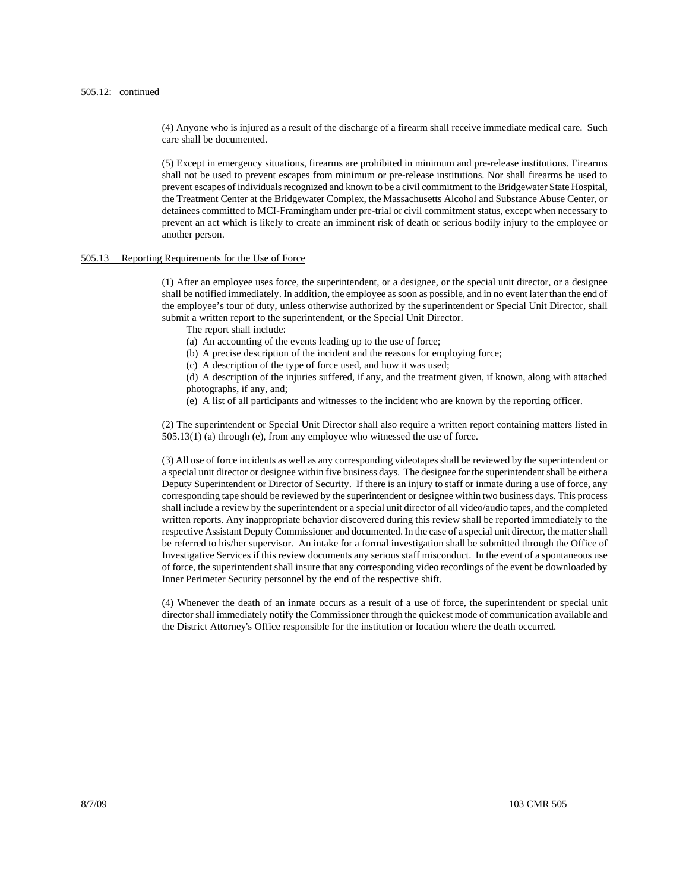(4) Anyone who is injured as a result of the discharge of a firearm shall receive immediate medical care. Such care shall be documented.

(5) Except in emergency situations, firearms are prohibited in minimum and pre-release institutions. Firearms shall not be used to prevent escapes from minimum or pre-release institutions. Nor shall firearms be used to prevent escapes of individuals recognized and known to be a civil commitment to the Bridgewater State Hospital, the Treatment Center at the Bridgewater Complex, the Massachusetts Alcohol and Substance Abuse Center, or detainees committed to MCI-Framingham under pre-trial or civil commitment status, except when necessary to prevent an act which is likely to create an imminent risk of death or serious bodily injury to the employee or another person.

## 505.13 Reporting Requirements for the Use of Force

(1) After an employee uses force, the superintendent, or a designee, or the special unit director, or a designee shall be notified immediately. In addition, the employee as soon as possible, and in no event later than the end of the employee's tour of duty, unless otherwise authorized by the superintendent or Special Unit Director, shall submit a written report to the superintendent, or the Special Unit Director.

- The report shall include:
- (a) An accounting of the events leading up to the use of force;
- (b) A precise description of the incident and the reasons for employing force;
- (c) A description of the type of force used, and how it was used;
- (d) A description of the injuries suffered, if any, and the treatment given, if known, along with attached photographs, if any, and;
- (e) A list of all participants and witnesses to the incident who are known by the reporting officer.

(2) The superintendent or Special Unit Director shall also require a written report containing matters listed in 505.13(1) (a) through (e), from any employee who witnessed the use of force.

(3) All use of force incidents as well as any corresponding videotapes shall be reviewed by the superintendent or a special unit director or designee within five business days. The designee for the superintendent shall be either a Deputy Superintendent or Director of Security. If there is an injury to staff or inmate during a use of force, any corresponding tape should be reviewed by the superintendent or designee within two business days. This process shall include a review by the superintendent or a special unit director of all video/audio tapes, and the completed written reports. Any inappropriate behavior discovered during this review shall be reported immediately to the respective Assistant Deputy Commissioner and documented. In the case of a special unit director, the matter shall be referred to his/her supervisor. An intake for a formal investigation shall be submitted through the Office of Investigative Services if this review documents any serious staff misconduct. In the event of a spontaneous use of force, the superintendent shall insure that any corresponding video recordings of the event be downloaded by Inner Perimeter Security personnel by the end of the respective shift.

(4) Whenever the death of an inmate occurs as a result of a use of force, the superintendent or special unit director shall immediately notify the Commissioner through the quickest mode of communication available and the District Attorney's Office responsible for the institution or location where the death occurred.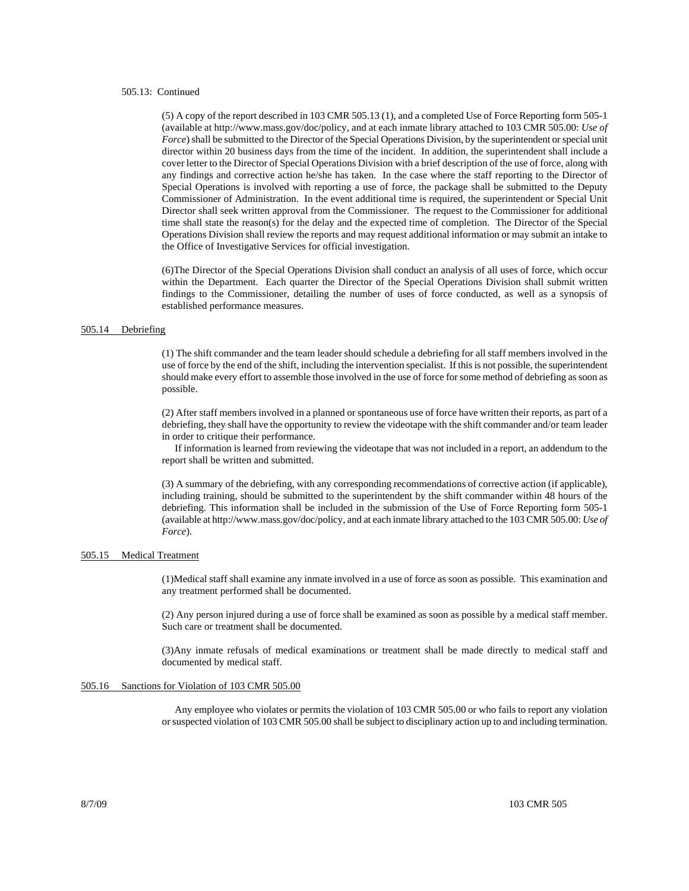## 505.13: Continued

(5) A copy of the report described in 103 CMR 505.13 (1), and a completed Use of Force Reporting form 505-1 (available at http://www.mass.gov/doc/policy, and at each inmate library attached to 103 CMR 505.00: *Use of Force*) shall be submitted to the Director of the Special Operations Division, by the superintendent or special unit director within 20 business days from the time of the incident. In addition, the superintendent shall include a cover letter to the Director of Special Operations Division with a brief description of the use of force, along with any findings and corrective action he/she has taken. In the case where the staff reporting to the Director of Special Operations is involved with reporting a use of force, the package shall be submitted to the Deputy Commissioner of Administration. In the event additional time is required, the superintendent or Special Unit Director shall seek written approval from the Commissioner. The request to the Commissioner for additional time shall state the reason(s) for the delay and the expected time of completion. The Director of the Special Operations Division shall review the reports and may request additional information or may submit an intake to the Office of Investigative Services for official investigation.

(6)The Director of the Special Operations Division shall conduct an analysis of all uses of force, which occur within the Department. Each quarter the Director of the Special Operations Division shall submit written findings to the Commissioner, detailing the number of uses of force conducted, as well as a synopsis of established performance measures.

#### 505.14 Debriefing

(1) The shift commander and the team leader should schedule a debriefing for all staff members involved in the use of force by the end of the shift, including the intervention specialist. If this is not possible, the superintendent should make every effort to assemble those involved in the use of force for some method of debriefing as soon as possible.

(2) After staff members involved in a planned or spontaneous use of force have written their reports, as part of a debriefing, they shall have the opportunity to review the videotape with the shift commander and/or team leader in order to critique their performance.

 If information is learned from reviewing the videotape that was not included in a report, an addendum to the report shall be written and submitted.

(3) A summary of the debriefing, with any corresponding recommendations of corrective action (if applicable), including training, should be submitted to the superintendent by the shift commander within 48 hours of the debriefing. This information shall be included in the submission of the Use of Force Reporting form 505-1 (available at http://www.mass.gov/doc/policy, and at each inmate library attached to the 103 CMR 505.00: *Use of Force*).

### 505.15 Medical Treatment

(1)Medical staff shall examine any inmate involved in a use of force as soon as possible. This examination and any treatment performed shall be documented.

(2) Any person injured during a use of force shall be examined as soon as possible by a medical staff member. Such care or treatment shall be documented.

(3)Any inmate refusals of medical examinations or treatment shall be made directly to medical staff and documented by medical staff.

### 505.16 Sanctions for Violation of 103 CMR 505.00

 Any employee who violates or permits the violation of 103 CMR 505.00 or who fails to report any violation or suspected violation of 103 CMR 505.00 shall be subject to disciplinary action up to and including termination.